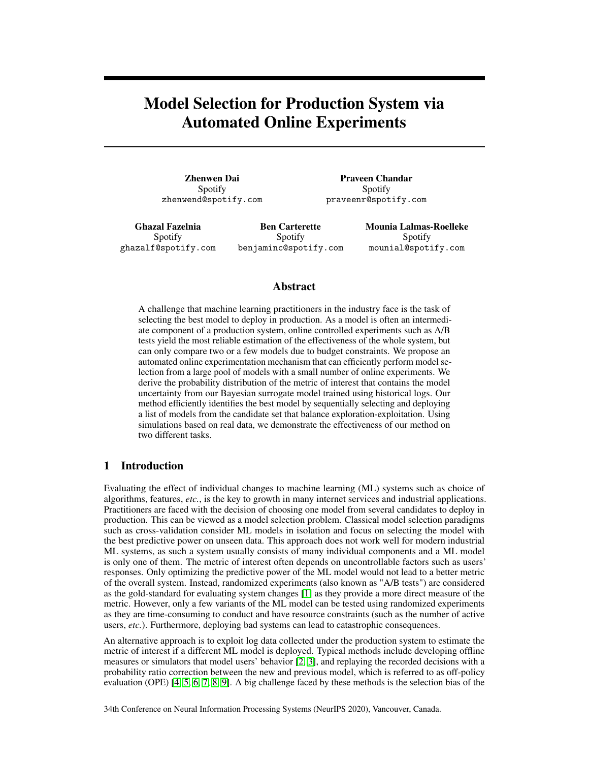# Model Selection for Production System via Automated Online Experiments

Zhenwen Dai Spotify zhenwend@spotify.com

Praveen Chandar Spotify praveenr@spotify.com

Ghazal Fazelnia Spotify ghazalf@spotify.com

Ben Carterette Spotify benjaminc@spotify.com Mounia Lalmas-Roelleke Spotify mounial@spotify.com

### Abstract

A challenge that machine learning practitioners in the industry face is the task of selecting the best model to deploy in production. As a model is often an intermediate component of a production system, online controlled experiments such as A/B tests yield the most reliable estimation of the effectiveness of the whole system, but can only compare two or a few models due to budget constraints. We propose an automated online experimentation mechanism that can efficiently perform model selection from a large pool of models with a small number of online experiments. We derive the probability distribution of the metric of interest that contains the model uncertainty from our Bayesian surrogate model trained using historical logs. Our method efficiently identifies the best model by sequentially selecting and deploying a list of models from the candidate set that balance exploration-exploitation. Using simulations based on real data, we demonstrate the effectiveness of our method on two different tasks.

## 1 Introduction

Evaluating the effect of individual changes to machine learning (ML) systems such as choice of algorithms, features, *etc.*, is the key to growth in many internet services and industrial applications. Practitioners are faced with the decision of choosing one model from several candidates to deploy in production. This can be viewed as a model selection problem. Classical model selection paradigms such as cross-validation consider ML models in isolation and focus on selecting the model with the best predictive power on unseen data. This approach does not work well for modern industrial ML systems, as such a system usually consists of many individual components and a ML model is only one of them. The metric of interest often depends on uncontrollable factors such as users' responses. Only optimizing the predictive power of the ML model would not lead to a better metric of the overall system. Instead, randomized experiments (also known as "A/B tests") are considered as the gold-standard for evaluating system changes [\[1\]](#page-8-0) as they provide a more direct measure of the metric. However, only a few variants of the ML model can be tested using randomized experiments as they are time-consuming to conduct and have resource constraints (such as the number of active users, *etc.*). Furthermore, deploying bad systems can lead to catastrophic consequences.

An alternative approach is to exploit log data collected under the production system to estimate the metric of interest if a different ML model is deployed. Typical methods include developing offline measures or simulators that model users' behavior [\[2,](#page-8-1) [3\]](#page-8-2), and replaying the recorded decisions with a probability ratio correction between the new and previous model, which is referred to as off-policy evaluation (OPE) [\[4,](#page-8-3) [5,](#page-8-4) [6,](#page-8-5) [7,](#page-9-0) [8,](#page-9-1) [9\]](#page-9-2). A big challenge faced by these methods is the selection bias of the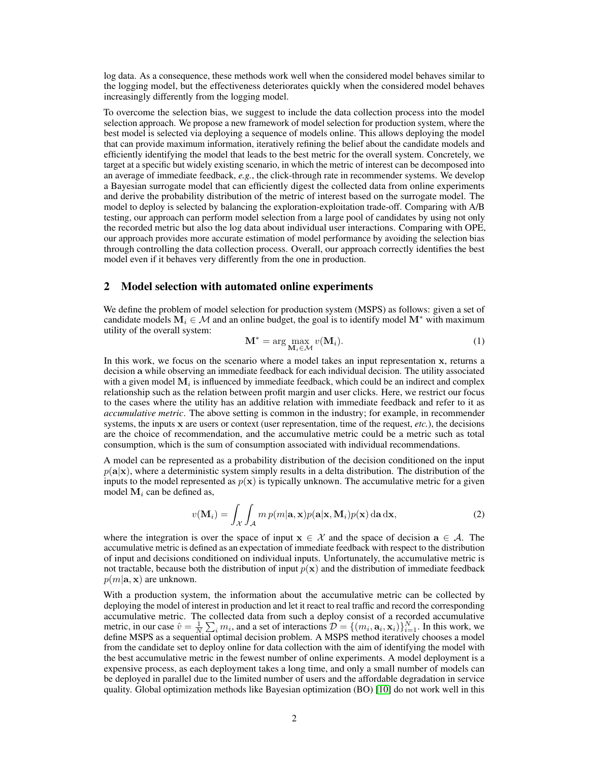log data. As a consequence, these methods work well when the considered model behaves similar to the logging model, but the effectiveness deteriorates quickly when the considered model behaves increasingly differently from the logging model.

To overcome the selection bias, we suggest to include the data collection process into the model selection approach. We propose a new framework of model selection for production system, where the best model is selected via deploying a sequence of models online. This allows deploying the model that can provide maximum information, iteratively refining the belief about the candidate models and efficiently identifying the model that leads to the best metric for the overall system. Concretely, we target at a specific but widely existing scenario, in which the metric of interest can be decomposed into an average of immediate feedback, *e.g.*, the click-through rate in recommender systems. We develop a Bayesian surrogate model that can efficiently digest the collected data from online experiments and derive the probability distribution of the metric of interest based on the surrogate model. The model to deploy is selected by balancing the exploration-exploitation trade-off. Comparing with A/B testing, our approach can perform model selection from a large pool of candidates by using not only the recorded metric but also the log data about individual user interactions. Comparing with OPE, our approach provides more accurate estimation of model performance by avoiding the selection bias through controlling the data collection process. Overall, our approach correctly identifies the best model even if it behaves very differently from the one in production.

### <span id="page-1-1"></span>2 Model selection with automated online experiments

We define the problem of model selection for production system (MSPS) as follows: given a set of candidate models  $M_i \in \mathcal{M}$  and an online budget, the goal is to identify model  $M^*$  with maximum utility of the overall system:

$$
\mathbf{M}^* = \arg\max_{\mathbf{M}_i \in \mathcal{M}} v(\mathbf{M}_i). \tag{1}
$$

In this work, we focus on the scenario where a model takes an input representation x, returns a decision a while observing an immediate feedback for each individual decision. The utility associated with a given model  $M_i$  is influenced by immediate feedback, which could be an indirect and complex relationship such as the relation between profit margin and user clicks. Here, we restrict our focus to the cases where the utility has an additive relation with immediate feedback and refer to it as *accumulative metric*. The above setting is common in the industry; for example, in recommender systems, the inputs x are users or context (user representation, time of the request, *etc.*), the decisions are the choice of recommendation, and the accumulative metric could be a metric such as total consumption, which is the sum of consumption associated with individual recommendations.

A model can be represented as a probability distribution of the decision conditioned on the input  $p(\mathbf{a}|\mathbf{x})$ , where a deterministic system simply results in a delta distribution. The distribution of the inputs to the model represented as  $p(x)$  is typically unknown. The accumulative metric for a given model  $M_i$  can be defined as,

<span id="page-1-0"></span>
$$
v(\mathbf{M}_i) = \int_{\mathcal{X}} \int_{\mathcal{A}} m \, p(m|\mathbf{a}, \mathbf{x}) p(\mathbf{a}|\mathbf{x}, \mathbf{M}_i) p(\mathbf{x}) \, \mathrm{d}\mathbf{a} \, \mathrm{d}\mathbf{x},\tag{2}
$$

where the integration is over the space of input  $x \in \mathcal{X}$  and the space of decision  $a \in \mathcal{A}$ . The accumulative metric is defined as an expectation of immediate feedback with respect to the distribution of input and decisions conditioned on individual inputs. Unfortunately, the accumulative metric is not tractable, because both the distribution of input  $p(x)$  and the distribution of immediate feedback  $p(m|\mathbf{a}, \mathbf{x})$  are unknown.

With a production system, the information about the accumulative metric can be collected by deploying the model of interest in production and let it react to real traffic and record the corresponding accumulative metric. The collected data from such a deploy consist of a recorded accumulative metric, in our case  $\hat{v} = \frac{1}{N} \sum_i m_i$ , and a set of interactions  $\mathcal{D} = \{(m_i, \mathbf{a}_i, \mathbf{x}_i)\}_{i=1}^N$ . In this work, we define MSPS as a sequential optimal decision problem. A MSPS method iteratively chooses a model from the candidate set to deploy online for data collection with the aim of identifying the model with the best accumulative metric in the fewest number of online experiments. A model deployment is a expensive process, as each deployment takes a long time, and only a small number of models can be deployed in parallel due to the limited number of users and the affordable degradation in service quality. Global optimization methods like Bayesian optimization (BO) [\[10\]](#page-9-3) do not work well in this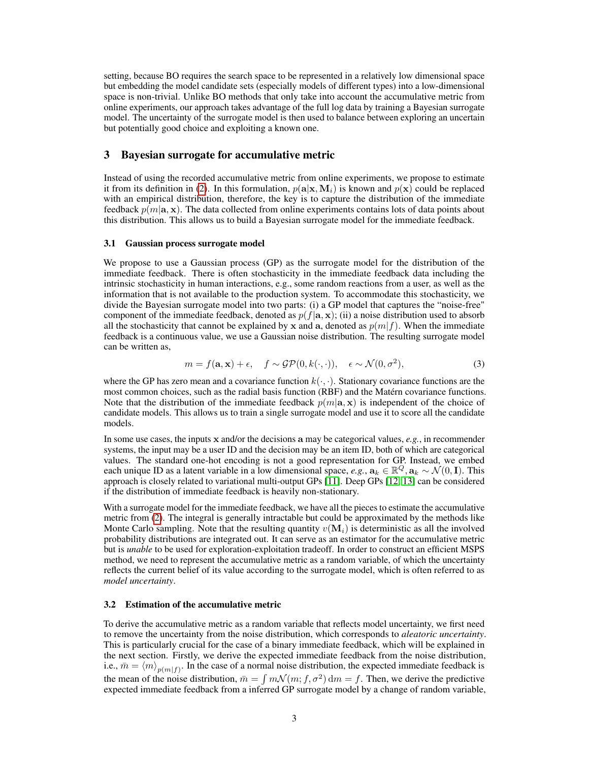setting, because BO requires the search space to be represented in a relatively low dimensional space but embedding the model candidate sets (especially models of different types) into a low-dimensional space is non-trivial. Unlike BO methods that only take into account the accumulative metric from online experiments, our approach takes advantage of the full log data by training a Bayesian surrogate model. The uncertainty of the surrogate model is then used to balance between exploring an uncertain but potentially good choice and exploiting a known one.

### <span id="page-2-0"></span>3 Bayesian surrogate for accumulative metric

Instead of using the recorded accumulative metric from online experiments, we propose to estimate it from its definition in [\(2\)](#page-1-0). In this formulation,  $p(\mathbf{a}|\mathbf{x}, \mathbf{M}_i)$  is known and  $p(\mathbf{x})$  could be replaced with an empirical distribution, therefore, the key is to capture the distribution of the immediate feedback  $p(m|\mathbf{a}, \mathbf{x})$ . The data collected from online experiments contains lots of data points about this distribution. This allows us to build a Bayesian surrogate model for the immediate feedback.

### <span id="page-2-1"></span>3.1 Gaussian process surrogate model

We propose to use a Gaussian process (GP) as the surrogate model for the distribution of the immediate feedback. There is often stochasticity in the immediate feedback data including the intrinsic stochasticity in human interactions, e.g., some random reactions from a user, as well as the information that is not available to the production system. To accommodate this stochasticity, we divide the Bayesian surrogate model into two parts: (i) a GP model that captures the "noise-free" component of the immediate feedback, denoted as  $p(f|a, x)$ ; (ii) a noise distribution used to absorb all the stochasticity that cannot be explained by x and a, denoted as  $p(m|f)$ . When the immediate feedback is a continuous value, we use a Gaussian noise distribution. The resulting surrogate model can be written as,

$$
m = f(\mathbf{a}, \mathbf{x}) + \epsilon, \quad f \sim \mathcal{GP}(0, k(\cdot, \cdot)), \quad \epsilon \sim \mathcal{N}(0, \sigma^2), \tag{3}
$$

where the GP has zero mean and a covariance function  $k(\cdot, \cdot)$ . Stationary covariance functions are the most common choices, such as the radial basis function (RBF) and the Matérn covariance functions. Note that the distribution of the immediate feedback  $p(m|\mathbf{a}, \mathbf{x})$  is independent of the choice of candidate models. This allows us to train a single surrogate model and use it to score all the candidate models.

In some use cases, the inputs x and/or the decisions a may be categorical values, *e.g.*, in recommender systems, the input may be a user ID and the decision may be an item ID, both of which are categorical values. The standard one-hot encoding is not a good representation for GP. Instead, we embed each unique ID as a latent variable in a low dimensional space,  $e.g., \mathbf{a}_k \in \mathbb{R}^Q, \mathbf{a}_k \sim \mathcal{N}(0, \mathbf{I})$ . This approach is closely related to variational multi-output GPs [\[11\]](#page-9-4). Deep GPs [\[12,](#page-9-5) [13\]](#page-9-6) can be considered if the distribution of immediate feedback is heavily non-stationary.

With a surrogate model for the immediate feedback, we have all the pieces to estimate the accumulative metric from [\(2\)](#page-1-0). The integral is generally intractable but could be approximated by the methods like Monte Carlo sampling. Note that the resulting quantity  $v(\mathbf{M}_i)$  is deterministic as all the involved probability distributions are integrated out. It can serve as an estimator for the accumulative metric but is *unable* to be used for exploration-exploitation tradeoff. In order to construct an efficient MSPS method, we need to represent the accumulative metric as a random variable, of which the uncertainty reflects the current belief of its value according to the surrogate model, which is often referred to as *model uncertainty*.

### 3.2 Estimation of the accumulative metric

To derive the accumulative metric as a random variable that reflects model uncertainty, we first need to remove the uncertainty from the noise distribution, which corresponds to *aleatoric uncertainty*. This is particularly crucial for the case of a binary immediate feedback, which will be explained in the next section. Firstly, we derive the expected immediate feedback from the noise distribution, i.e.,  $\bar{m} = \langle m \rangle_{p(m|f)}$ . In the case of a normal noise distribution, the expected immediate feedback is the mean of the noise distribution,  $\bar{m} = \int m\mathcal{N}(m; f, \sigma^2) dm = f$ . Then, we derive the predictive expected immediate feedback from a inferred GP surrogate model by a change of random variable,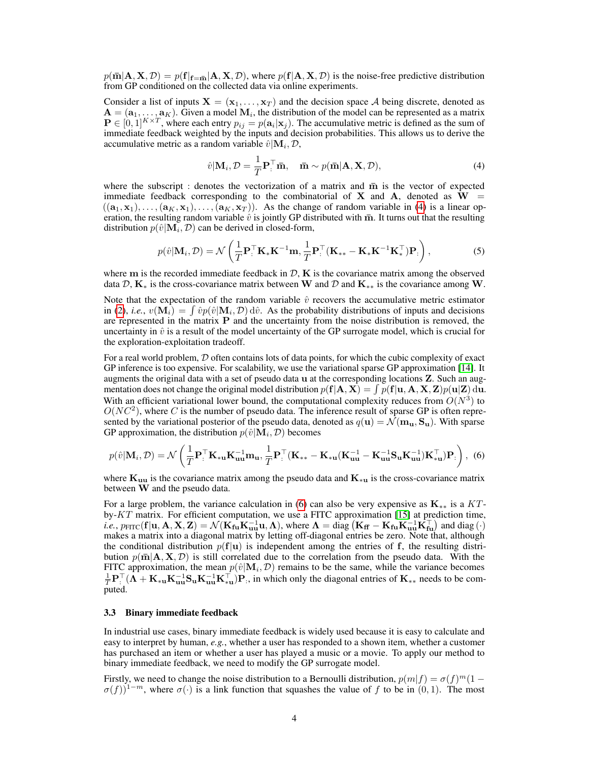$p(\bar{m}|\mathbf{A}, \mathbf{X}, \mathcal{D}) = p(\mathbf{f}|\mathbf{f}=\bar{m}|\mathbf{A}, \mathbf{X}, \mathcal{D})$ , where  $p(\mathbf{f}|\mathbf{A}, \mathbf{X}, \mathcal{D})$  is the noise-free predictive distribution from GP conditioned on the collected data via online experiments.

Consider a list of inputs  $X = (x_1, \ldots, x_T)$  and the decision space A being discrete, denoted as  $A = (a_1, \ldots, a_K)$ . Given a model  $M_i$ , the distribution of the model can be represented as a matrix  $P \in [0,1]^{K \times T}$ , where each entry  $p_{ij} = p(\mathbf{a}_i | \mathbf{x}_j)$ . The accumulative metric is defined as the sum of immediate feedback weighted by the inputs and decision probabilities. This allows us to derive the accumulative metric as a random variable  $\hat{v} | \mathbf{M}_i, \mathcal{D}$ ,

<span id="page-3-0"></span>
$$
\hat{v}|\mathbf{M}_{i}, \mathcal{D} = \frac{1}{T}\mathbf{P}_{i}^{\top}\bar{\mathbf{m}}, \quad \bar{\mathbf{m}} \sim p(\bar{\mathbf{m}}|\mathbf{A}, \mathbf{X}, \mathcal{D}), \tag{4}
$$

where the subscript : denotes the vectorization of a matrix and  $\bar{m}$  is the vector of expected immediate feedback corresponding to the combinatorial of X and A, denoted as  $W =$  $((a_1, x_1), \ldots, (a_K, x_1), \ldots, (a_K, x_T))$ . As the change of random variable in [\(4\)](#page-3-0) is a linear operation, the resulting random variable  $\hat{v}$  is jointly GP distributed with  $\overline{m}$ . It turns out that the resulting distribution  $p(\hat{v} | \mathbf{M}_i, \mathcal{D})$  can be derived in closed-form,

$$
p(\hat{v}|\mathbf{M}_{i}, \mathcal{D}) = \mathcal{N}\left(\frac{1}{T}\mathbf{P}_{\cdot}^{\top}\mathbf{K}_{*}\mathbf{K}^{-1}\mathbf{m}, \frac{1}{T}\mathbf{P}_{\cdot}^{\top}(\mathbf{K}_{**} - \mathbf{K}_{*}\mathbf{K}^{-1}\mathbf{K}_{*}^{\top})\mathbf{P}_{\cdot}\right),
$$
\n(5)

where m is the recorded immediate feedback in  $D$ ,  $K$  is the covariance matrix among the observed data D,  $K_*$  is the cross-covariance matrix between W and D and  $K_{**}$  is the covariance among W.

Note that the expectation of the random variable  $\hat{v}$  recovers the accumulative metric estimator in [\(2\)](#page-1-0), *i.e.*,  $v(\mathbf{M}_i) = \int \hat{v}p(\hat{v}|\mathbf{M}_i, \mathcal{D}) d\hat{v}$ . As the probability distributions of inputs and decisions are represented in the matrix P and the uncertainty from the noise distribution is removed, the uncertainty in  $\hat{v}$  is a result of the model uncertainty of the GP surrogate model, which is crucial for the exploration-exploitation tradeoff.

For a real world problem,  $D$  often contains lots of data points, for which the cubic complexity of exact GP inference is too expensive. For scalability, we use the variational sparse GP approximation [\[14\]](#page-9-7). It augments the original data with a set of pseudo data u at the corresponding locations Z. Such an augmentation does not change the original model distribution  $p(\mathbf{f}|\mathbf{A}, \mathbf{X}) = \int p(\mathbf{f}|\mathbf{u}, \mathbf{A}, \mathbf{X}, \mathbf{Z}) p(\mathbf{u}|\mathbf{Z}) \, d\mathbf{u}$ . With an efficient variational lower bound, the computational complexity reduces from  $O(N^3)$  to  $O(NC^2)$ , where C is the number of pseudo data. The inference result of sparse GP is often represented by the variational posterior of the pseudo data, denoted as  $q(\mathbf{u}) = \mathcal{N}(\mathbf{m}_{\mathbf{u}}, \mathbf{S}_{\mathbf{u}})$ . With sparse GP approximation, the distribution  $p(\hat{v}|\mathbf{M}_i, \mathcal{D})$  becomes

<span id="page-3-1"></span>
$$
p(\hat{v}|\mathbf{M}_{i},\mathcal{D})=\mathcal{N}\left(\frac{1}{T}\mathbf{P}_{\cdot}^{\top}\mathbf{K}_{\ast\mathbf{u}}\mathbf{K}_{\mathbf{u}\mathbf{u}}^{-1}\mathbf{m}_{\mathbf{u}},\frac{1}{T}\mathbf{P}_{\cdot}^{\top}(\mathbf{K}_{\ast\ast}-\mathbf{K}_{\ast\mathbf{u}}(\mathbf{K}_{\mathbf{u}\mathbf{u}}^{-1}-\mathbf{K}_{\mathbf{u}\mathbf{u}}^{-1}\mathbf{S}_{\mathbf{u}}\mathbf{K}_{\mathbf{u}\mathbf{u}}^{-1})\mathbf{K}_{\ast\mathbf{u}}^{\top}\mathbf{P}_{\cdot}\right),\tag{6}
$$

where  $K_{uu}$  is the covariance matrix among the pseudo data and  $K_{*u}$  is the cross-covariance matrix between W and the pseudo data.

For a large problem, the variance calculation in [\(6\)](#page-3-1) can also be very expensive as  $K_{**}$  is a KTby- $KT$  matrix. For efficient computation, we use a FITC approximation [\[15\]](#page-9-8) at prediction time, *i.e.*,  $p_{\text{FITC}}(\mathbf{f} | \mathbf{u}, \mathbf{A}, \mathbf{X}, \mathbf{Z}) = \mathcal{N}(\mathbf{K}_{\text{fu}} \mathbf{K}_{\text{uu}}^{-1} \mathbf{u}, \mathbf{\Lambda})$ , where  $\mathbf{\Lambda} = \text{diag}(\mathbf{K}_{\text{ff}} - \mathbf{K}_{\text{fu}} \mathbf{K}_{\text{uu}}^{-1} \mathbf{K}_{\text{fu}}^{\top})$  and diag  $(\cdot)$ makes a matrix into a diagonal matrix by letting off-diagonal entries be zero. Note that, although the conditional distribution  $p(f|u)$  is independent among the entries of f, the resulting distribution  $p(\bar{m}|\mathbf{A}, \mathbf{X}, \mathcal{D})$  is still correlated due to the correlation from the pseudo data. With the FITC approximation, the mean  $p(\hat{v} | \mathbf{M}_i, \mathcal{D})$  remains to be the same, while the variance becomes  $\frac{1}{T}P^{\top}(\Lambda + K_{*u}K_{uu}^{-1}S_uK_{uu}^{-1}K_{*u}^{\top})P$ , in which only the diagonal entries of  $K_{**}$  needs to be computed.

### 3.3 Binary immediate feedback

In industrial use cases, binary immediate feedback is widely used because it is easy to calculate and easy to interpret by human, *e.g.*, whether a user has responded to a shown item, whether a customer has purchased an item or whether a user has played a music or a movie. To apply our method to binary immediate feedback, we need to modify the GP surrogate model.

Firstly, we need to change the noise distribution to a Bernoulli distribution,  $p(m|f) = \sigma(f)^m(1 \sigma(f)$ <sup>1−m</sup>, where  $\sigma(\cdot)$  is a link function that squashes the value of f to be in (0,1). The most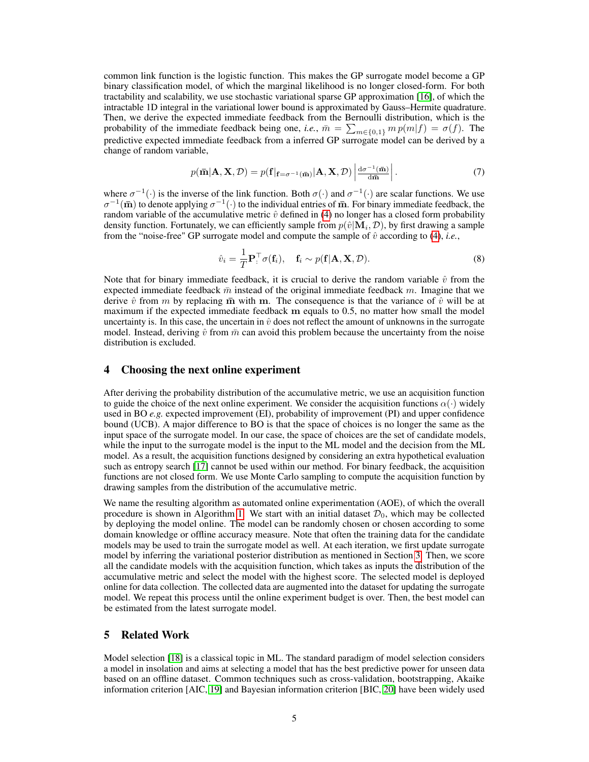common link function is the logistic function. This makes the GP surrogate model become a GP binary classification model, of which the marginal likelihood is no longer closed-form. For both tractability and scalability, we use stochastic variational sparse GP approximation [\[16\]](#page-9-9), of which the intractable 1D integral in the variational lower bound is approximated by Gauss–Hermite quadrature. Then, we derive the expected immediate feedback from the Bernoulli distribution, which is the probability of the immediate feedback being one, *i.e.*,  $\bar{m} = \sum_{m \in \{0,1\}} m p(m|f) = \sigma(f)$ . The predictive expected immediate feedback from a inferred GP surrogate model can be derived by a change of random variable,

$$
p(\mathbf{\bar{m}}|\mathbf{A}, \mathbf{X}, \mathcal{D}) = p(\mathbf{f}|_{\mathbf{f} = \sigma^{-1}(\mathbf{\bar{m}})}|\mathbf{A}, \mathbf{X}, \mathcal{D}) \left| \frac{d\sigma^{-1}(\mathbf{\bar{m}})}{d\mathbf{\bar{m}}} \right|.
$$
 (7)

where  $\sigma^{-1}(\cdot)$  is the inverse of the link function. Both  $\sigma(\cdot)$  and  $\sigma^{-1}(\cdot)$  are scalar functions. We use  $\sigma^{-1}(\bar{\bf m})$  to denote applying  $\sigma^{-1}(\cdot)$  to the individual entries of  $\bar{\bf m}$ . For binary immediate feedback, the random variable of the accumulative metric  $\hat{v}$  defined in [\(4\)](#page-3-0) no longer has a closed form probability density function. Fortunately, we can efficiently sample from  $p(\hat{v}|\mathbf{M}_i, \mathcal{D})$ , by first drawing a sample from the "noise-free" GP surrogate model and compute the sample of  $\hat{v}$  according to [\(4\)](#page-3-0), *i.e.*,

$$
\hat{v}_i = \frac{1}{T} \mathbf{P}_i^{\top} \sigma(\mathbf{f}_i), \quad \mathbf{f}_i \sim p(\mathbf{f}|\mathbf{A}, \mathbf{X}, \mathcal{D}). \tag{8}
$$

Note that for binary immediate feedback, it is crucial to derive the random variable  $\hat{v}$  from the expected immediate feedback  $\bar{m}$  instead of the original immediate feedback m. Imagine that we derive  $\hat{v}$  from m by replacing  $\bar{m}$  with m. The consequence is that the variance of  $\hat{v}$  will be at maximum if the expected immediate feedback m equals to 0.5, no matter how small the model uncertainty is. In this case, the uncertain in  $\hat{v}$  does not reflect the amount of unknowns in the surrogate model. Instead, deriving  $\hat{v}$  from  $\bar{m}$  can avoid this problem because the uncertainty from the noise distribution is excluded.

### 4 Choosing the next online experiment

After deriving the probability distribution of the accumulative metric, we use an acquisition function to guide the choice of the next online experiment. We consider the acquisition functions  $\alpha(\cdot)$  widely used in BO *e.g.* expected improvement (EI), probability of improvement (PI) and upper confidence bound (UCB). A major difference to BO is that the space of choices is no longer the same as the input space of the surrogate model. In our case, the space of choices are the set of candidate models, while the input to the surrogate model is the input to the ML model and the decision from the ML model. As a result, the acquisition functions designed by considering an extra hypothetical evaluation such as entropy search [\[17\]](#page-9-10) cannot be used within our method. For binary feedback, the acquisition functions are not closed form. We use Monte Carlo sampling to compute the acquisition function by drawing samples from the distribution of the accumulative metric.

We name the resulting algorithm as automated online experimentation (AOE), of which the overall procedure is shown in Algorithm [1.](#page-5-0) We start with an initial dataset  $\mathcal{D}_0$ , which may be collected by deploying the model online. The model can be randomly chosen or chosen according to some domain knowledge or offline accuracy measure. Note that often the training data for the candidate models may be used to train the surrogate model as well. At each iteration, we first update surrogate model by inferring the variational posterior distribution as mentioned in Section [3.](#page-2-0) Then, we score all the candidate models with the acquisition function, which takes as inputs the distribution of the accumulative metric and select the model with the highest score. The selected model is deployed online for data collection. The collected data are augmented into the dataset for updating the surrogate model. We repeat this process until the online experiment budget is over. Then, the best model can be estimated from the latest surrogate model.

## 5 Related Work

Model selection [\[18\]](#page-9-11) is a classical topic in ML. The standard paradigm of model selection considers a model in insolation and aims at selecting a model that has the best predictive power for unseen data based on an offline dataset. Common techniques such as cross-validation, bootstrapping, Akaike information criterion [AIC, [19\]](#page-9-12) and Bayesian information criterion [BIC, [20\]](#page-9-13) have been widely used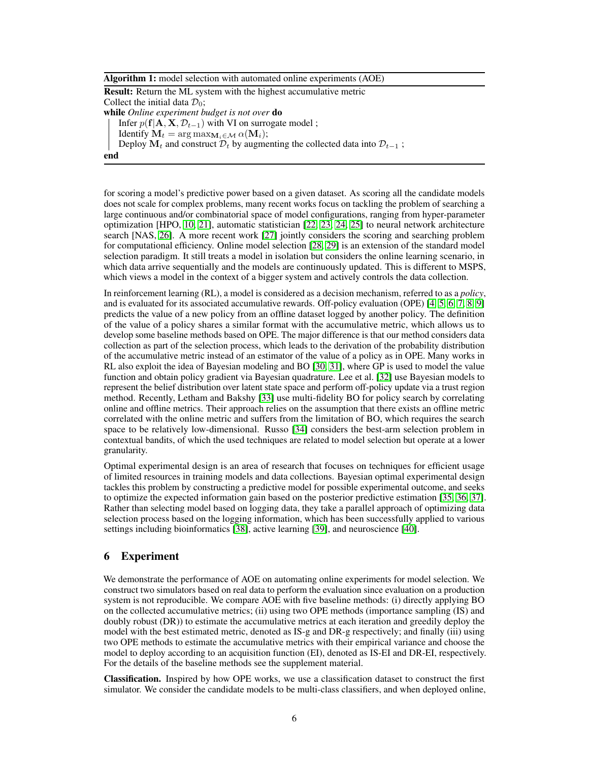|  |  |  |  |  |  | Algorithm 1: model selection with automated online experiments (AOE) |  |
|--|--|--|--|--|--|----------------------------------------------------------------------|--|
|--|--|--|--|--|--|----------------------------------------------------------------------|--|

Result: Return the ML system with the highest accumulative metric Collect the initial data  $\mathcal{D}_0$ ;

while *Online experiment budget is not over* do

Infer  $p(f|A, X, \mathcal{D}_{t-1})$  with VI on surrogate model;

Identify  $M_t = \arg \max_{M_i \in \mathcal{M}} \alpha(M_i);$ 

Deploy  $M_t$  and construct  $D_t$  by augmenting the collected data into  $D_{t-1}$ ;

<span id="page-5-0"></span>

for scoring a model's predictive power based on a given dataset. As scoring all the candidate models does not scale for complex problems, many recent works focus on tackling the problem of searching a large continuous and/or combinatorial space of model configurations, ranging from hyper-parameter optimization [HPO, [10,](#page-9-3) [21\]](#page-9-14), automatic statistician [\[22,](#page-9-15) [23,](#page-9-16) [24,](#page-9-17) [25\]](#page-9-18) to neural network architecture search [NAS, [26\]](#page-9-19). A more recent work [\[27\]](#page-9-20) jointly considers the scoring and searching problem for computational efficiency. Online model selection [\[28,](#page-10-0) [29\]](#page-10-1) is an extension of the standard model selection paradigm. It still treats a model in isolation but considers the online learning scenario, in which data arrive sequentially and the models are continuously updated. This is different to MSPS, which views a model in the context of a bigger system and actively controls the data collection.

In reinforcement learning (RL), a model is considered as a decision mechanism, referred to as a *policy*, and is evaluated for its associated accumulative rewards. Off-policy evaluation (OPE) [\[4,](#page-8-3) [5,](#page-8-4) [6,](#page-8-5) [7,](#page-9-0) [8,](#page-9-1) [9\]](#page-9-2) predicts the value of a new policy from an offline dataset logged by another policy. The definition of the value of a policy shares a similar format with the accumulative metric, which allows us to develop some baseline methods based on OPE. The major difference is that our method considers data collection as part of the selection process, which leads to the derivation of the probability distribution of the accumulative metric instead of an estimator of the value of a policy as in OPE. Many works in RL also exploit the idea of Bayesian modeling and BO [\[30,](#page-10-2) [31\]](#page-10-3), where GP is used to model the value function and obtain policy gradient via Bayesian quadrature. Lee et al. [\[32\]](#page-10-4) use Bayesian models to represent the belief distribution over latent state space and perform off-policy update via a trust region method. Recently, Letham and Bakshy [\[33\]](#page-10-5) use multi-fidelity BO for policy search by correlating online and offline metrics. Their approach relies on the assumption that there exists an offline metric correlated with the online metric and suffers from the limitation of BO, which requires the search space to be relatively low-dimensional. Russo [\[34\]](#page-10-6) considers the best-arm selection problem in contextual bandits, of which the used techniques are related to model selection but operate at a lower granularity.

Optimal experimental design is an area of research that focuses on techniques for efficient usage of limited resources in training models and data collections. Bayesian optimal experimental design tackles this problem by constructing a predictive model for possible experimental outcome, and seeks to optimize the expected information gain based on the posterior predictive estimation [\[35,](#page-10-7) [36,](#page-10-8) [37\]](#page-10-9). Rather than selecting model based on logging data, they take a parallel approach of optimizing data selection process based on the logging information, which has been successfully applied to various settings including bioinformatics [\[38\]](#page-10-10), active learning [\[39\]](#page-10-11), and neuroscience [\[40\]](#page-10-12).

# 6 Experiment

We demonstrate the performance of AOE on automating online experiments for model selection. We construct two simulators based on real data to perform the evaluation since evaluation on a production system is not reproducible. We compare AOE with five baseline methods: (i) directly applying BO on the collected accumulative metrics; (ii) using two OPE methods (importance sampling (IS) and doubly robust (DR)) to estimate the accumulative metrics at each iteration and greedily deploy the model with the best estimated metric, denoted as IS-g and DR-g respectively; and finally (iii) using two OPE methods to estimate the accumulative metrics with their empirical variance and choose the model to deploy according to an acquisition function (EI), denoted as IS-EI and DR-EI, respectively. For the details of the baseline methods see the supplement material.

Classification. Inspired by how OPE works, we use a classification dataset to construct the first simulator. We consider the candidate models to be multi-class classifiers, and when deployed online,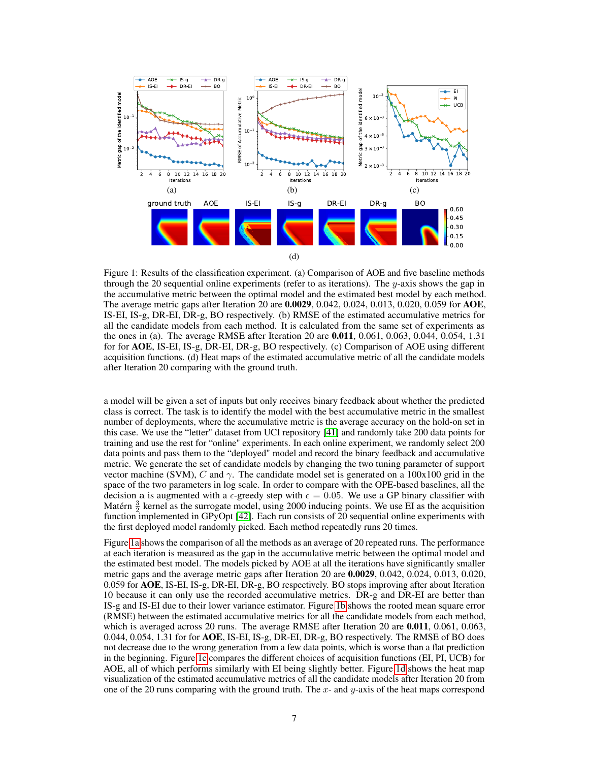<span id="page-6-0"></span>

Figure 1: Results of the classification experiment. (a) Comparison of AOE and five baseline methods through the 20 sequential online experiments (refer to as iterations). The y-axis shows the gap in the accumulative metric between the optimal model and the estimated best model by each method. The average metric gaps after Iteration 20 are 0.0029, 0.042, 0.024, 0.013, 0.020, 0.059 for AOE, IS-EI, IS-g, DR-EI, DR-g, BO respectively. (b) RMSE of the estimated accumulative metrics for all the candidate models from each method. It is calculated from the same set of experiments as the ones in (a). The average RMSE after Iteration 20 are 0.011, 0.061, 0.063, 0.044, 0.054, 1.31 for for AOE, IS-EI, IS-g, DR-EI, DR-g, BO respectively. (c) Comparison of AOE using different acquisition functions. (d) Heat maps of the estimated accumulative metric of all the candidate models after Iteration 20 comparing with the ground truth.

a model will be given a set of inputs but only receives binary feedback about whether the predicted class is correct. The task is to identify the model with the best accumulative metric in the smallest number of deployments, where the accumulative metric is the average accuracy on the hold-on set in this case. We use the "letter" dataset from UCI repository [\[41\]](#page-10-13) and randomly take 200 data points for training and use the rest for "online" experiments. In each online experiment, we randomly select 200 data points and pass them to the "deployed" model and record the binary feedback and accumulative metric. We generate the set of candidate models by changing the two tuning parameter of support vector machine (SVM), C and  $\gamma$ . The candidate model set is generated on a 100x100 grid in the space of the two parameters in log scale. In order to compare with the OPE-based baselines, all the decision a is augmented with a  $\epsilon$ -greedy step with  $\epsilon = 0.05$ . We use a GP binary classifier with Matérn  $\frac{3}{2}$  kernel as the surrogate model, using 2000 inducing points. We use EI as the acquisition function implemented in GPyOpt [\[42\]](#page-10-14). Each run consists of 20 sequential online experiments with the first deployed model randomly picked. Each method repeatedly runs 20 times.

Figure [1a](#page-6-0) shows the comparison of all the methods as an average of 20 repeated runs. The performance at each iteration is measured as the gap in the accumulative metric between the optimal model and the estimated best model. The models picked by AOE at all the iterations have significantly smaller metric gaps and the average metric gaps after Iteration 20 are 0.0029, 0.042, 0.024, 0.013, 0.020, 0.059 for AOE, IS-EI, IS-g, DR-EI, DR-g, BO respectively. BO stops improving after about Iteration 10 because it can only use the recorded accumulative metrics. DR-g and DR-EI are better than IS-g and IS-EI due to their lower variance estimator. Figure [1b](#page-6-0) shows the rooted mean square error (RMSE) between the estimated accumulative metrics for all the candidate models from each method, which is averaged across 20 runs. The average RMSE after Iteration 20 are **0.011**, 0.061, 0.063, 0.044, 0.054, 1.31 for for AOE, IS-EI, IS-g, DR-EI, DR-g, BO respectively. The RMSE of BO does not decrease due to the wrong generation from a few data points, which is worse than a flat prediction in the beginning. Figure [1c](#page-6-0) compares the different choices of acquisition functions (EI, PI, UCB) for AOE, all of which performs similarly with EI being slightly better. Figure [1d](#page-6-0) shows the heat map visualization of the estimated accumulative metrics of all the candidate models after Iteration 20 from one of the 20 runs comparing with the ground truth. The x- and  $y$ -axis of the heat maps correspond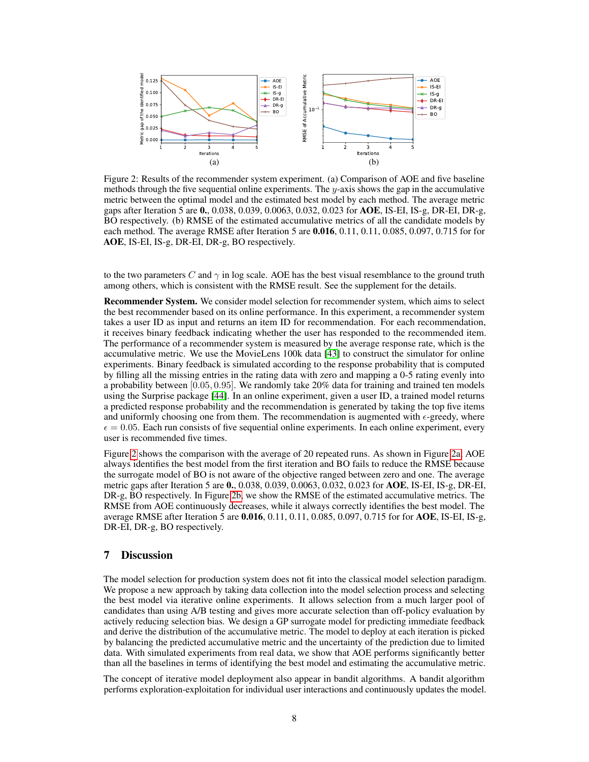<span id="page-7-0"></span>

Figure 2: Results of the recommender system experiment. (a) Comparison of AOE and five baseline methods through the five sequential online experiments. The  $y$ -axis shows the gap in the accumulative metric between the optimal model and the estimated best model by each method. The average metric gaps after Iteration 5 are 0., 0.038, 0.039, 0.0063, 0.032, 0.023 for AOE, IS-EI, IS-g, DR-EI, DR-g, BO respectively. (b) RMSE of the estimated accumulative metrics of all the candidate models by each method. The average RMSE after Iteration 5 are **0.016**, 0.11, 0.11, 0.085, 0.097, 0.715 for for AOE, IS-EI, IS-g, DR-EI, DR-g, BO respectively.

to the two parameters C and  $\gamma$  in log scale. AOE has the best visual resemblance to the ground truth among others, which is consistent with the RMSE result. See the supplement for the details.

Recommender System. We consider model selection for recommender system, which aims to select the best recommender based on its online performance. In this experiment, a recommender system takes a user ID as input and returns an item ID for recommendation. For each recommendation, it receives binary feedback indicating whether the user has responded to the recommended item. The performance of a recommender system is measured by the average response rate, which is the accumulative metric. We use the MovieLens 100k data [\[43\]](#page-10-15) to construct the simulator for online experiments. Binary feedback is simulated according to the response probability that is computed by filling all the missing entries in the rating data with zero and mapping a 0-5 rating evenly into a probability between [0.05, 0.95]. We randomly take 20% data for training and trained ten models using the Surprise package [\[44\]](#page-10-16). In an online experiment, given a user ID, a trained model returns a predicted response probability and the recommendation is generated by taking the top five items and uniformly choosing one from them. The recommendation is augmented with  $\epsilon$ -greedy, where  $\epsilon = 0.05$ . Each run consists of five sequential online experiments. In each online experiment, every user is recommended five times.

Figure [2](#page-7-0) shows the comparison with the average of 20 repeated runs. As shown in Figure [2a,](#page-7-0) AOE always identifies the best model from the first iteration and BO fails to reduce the RMSE because the surrogate model of BO is not aware of the objective ranged between zero and one. The average metric gaps after Iteration 5 are 0., 0.038, 0.039, 0.0063, 0.032, 0.023 for AOE, IS-EI, IS-g, DR-EI, DR-g, BO respectively. In Figure [2b,](#page-7-0) we show the RMSE of the estimated accumulative metrics. The RMSE from AOE continuously decreases, while it always correctly identifies the best model. The average RMSE after Iteration 5 are 0.016, 0.11, 0.11, 0.085, 0.097, 0.715 for for AOE, IS-EI, IS-g, DR-EI, DR-g, BO respectively.

# 7 Discussion

The model selection for production system does not fit into the classical model selection paradigm. We propose a new approach by taking data collection into the model selection process and selecting the best model via iterative online experiments. It allows selection from a much larger pool of candidates than using A/B testing and gives more accurate selection than off-policy evaluation by actively reducing selection bias. We design a GP surrogate model for predicting immediate feedback and derive the distribution of the accumulative metric. The model to deploy at each iteration is picked by balancing the predicted accumulative metric and the uncertainty of the prediction due to limited data. With simulated experiments from real data, we show that AOE performs significantly better than all the baselines in terms of identifying the best model and estimating the accumulative metric.

The concept of iterative model deployment also appear in bandit algorithms. A bandit algorithm performs exploration-exploitation for individual user interactions and continuously updates the model.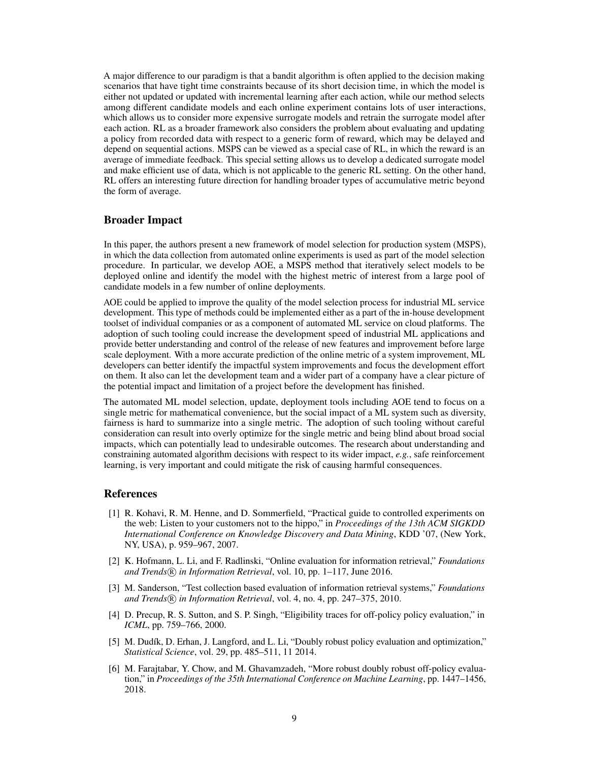A major difference to our paradigm is that a bandit algorithm is often applied to the decision making scenarios that have tight time constraints because of its short decision time, in which the model is either not updated or updated with incremental learning after each action, while our method selects among different candidate models and each online experiment contains lots of user interactions, which allows us to consider more expensive surrogate models and retrain the surrogate model after each action. RL as a broader framework also considers the problem about evaluating and updating a policy from recorded data with respect to a generic form of reward, which may be delayed and depend on sequential actions. MSPS can be viewed as a special case of RL, in which the reward is an average of immediate feedback. This special setting allows us to develop a dedicated surrogate model and make efficient use of data, which is not applicable to the generic RL setting. On the other hand, RL offers an interesting future direction for handling broader types of accumulative metric beyond the form of average.

### Broader Impact

In this paper, the authors present a new framework of model selection for production system (MSPS), in which the data collection from automated online experiments is used as part of the model selection procedure. In particular, we develop AOE, a MSPS method that iteratively select models to be deployed online and identify the model with the highest metric of interest from a large pool of candidate models in a few number of online deployments.

AOE could be applied to improve the quality of the model selection process for industrial ML service development. This type of methods could be implemented either as a part of the in-house development toolset of individual companies or as a component of automated ML service on cloud platforms. The adoption of such tooling could increase the development speed of industrial ML applications and provide better understanding and control of the release of new features and improvement before large scale deployment. With a more accurate prediction of the online metric of a system improvement, ML developers can better identify the impactful system improvements and focus the development effort on them. It also can let the development team and a wider part of a company have a clear picture of the potential impact and limitation of a project before the development has finished.

The automated ML model selection, update, deployment tools including AOE tend to focus on a single metric for mathematical convenience, but the social impact of a ML system such as diversity, fairness is hard to summarize into a single metric. The adoption of such tooling without careful consideration can result into overly optimize for the single metric and being blind about broad social impacts, which can potentially lead to undesirable outcomes. The research about understanding and constraining automated algorithm decisions with respect to its wider impact, *e.g.*, safe reinforcement learning, is very important and could mitigate the risk of causing harmful consequences.

### References

- <span id="page-8-0"></span>[1] R. Kohavi, R. M. Henne, and D. Sommerfield, "Practical guide to controlled experiments on the web: Listen to your customers not to the hippo," in *Proceedings of the 13th ACM SIGKDD International Conference on Knowledge Discovery and Data Mining*, KDD '07, (New York, NY, USA), p. 959–967, 2007.
- <span id="page-8-1"></span>[2] K. Hofmann, L. Li, and F. Radlinski, "Online evaluation for information retrieval," *Foundations* and Trends<sup>(R)</sup> in Information Retrieval, vol. 10, pp. 1–117, June 2016.
- <span id="page-8-2"></span>[3] M. Sanderson, "Test collection based evaluation of information retrieval systems," *Foundations and Trends* (*R*) *in Information Retrieval*, vol. 4, no. 4, pp. 247–375, 2010.
- <span id="page-8-3"></span>[4] D. Precup, R. S. Sutton, and S. P. Singh, "Eligibility traces for off-policy policy evaluation," in *ICML*, pp. 759–766, 2000.
- <span id="page-8-4"></span>[5] M. Dudík, D. Erhan, J. Langford, and L. Li, "Doubly robust policy evaluation and optimization," *Statistical Science*, vol. 29, pp. 485–511, 11 2014.
- <span id="page-8-5"></span>[6] M. Farajtabar, Y. Chow, and M. Ghavamzadeh, "More robust doubly robust off-policy evaluation," in *Proceedings of the 35th International Conference on Machine Learning*, pp. 1447–1456, 2018.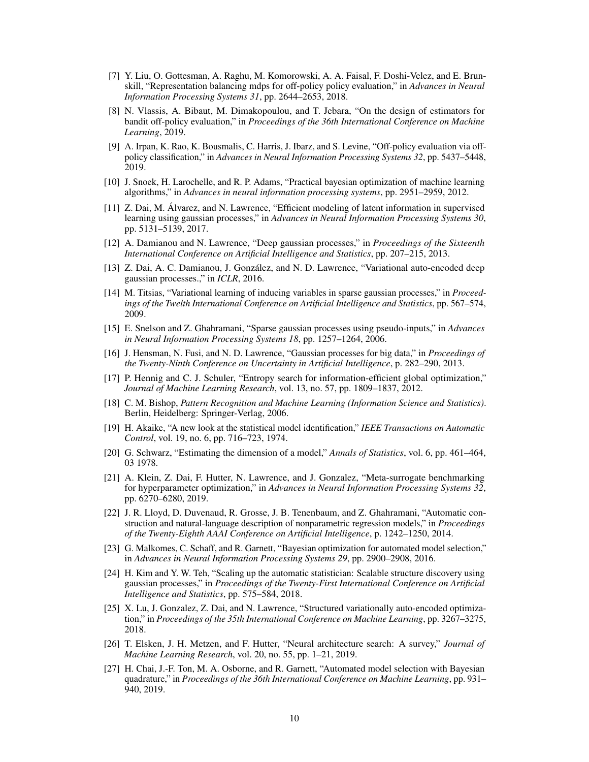- <span id="page-9-0"></span>[7] Y. Liu, O. Gottesman, A. Raghu, M. Komorowski, A. A. Faisal, F. Doshi-Velez, and E. Brunskill, "Representation balancing mdps for off-policy policy evaluation," in *Advances in Neural Information Processing Systems 31*, pp. 2644–2653, 2018.
- <span id="page-9-1"></span>[8] N. Vlassis, A. Bibaut, M. Dimakopoulou, and T. Jebara, "On the design of estimators for bandit off-policy evaluation," in *Proceedings of the 36th International Conference on Machine Learning*, 2019.
- <span id="page-9-2"></span>[9] A. Irpan, K. Rao, K. Bousmalis, C. Harris, J. Ibarz, and S. Levine, "Off-policy evaluation via offpolicy classification," in *Advances in Neural Information Processing Systems 32*, pp. 5437–5448, 2019.
- <span id="page-9-3"></span>[10] J. Snoek, H. Larochelle, and R. P. Adams, "Practical bayesian optimization of machine learning algorithms," in *Advances in neural information processing systems*, pp. 2951–2959, 2012.
- <span id="page-9-4"></span>[11] Z. Dai, M. Álvarez, and N. Lawrence, "Efficient modeling of latent information in supervised learning using gaussian processes," in *Advances in Neural Information Processing Systems 30*, pp. 5131–5139, 2017.
- <span id="page-9-5"></span>[12] A. Damianou and N. Lawrence, "Deep gaussian processes," in *Proceedings of the Sixteenth International Conference on Artificial Intelligence and Statistics*, pp. 207–215, 2013.
- <span id="page-9-6"></span>[13] Z. Dai, A. C. Damianou, J. González, and N. D. Lawrence, "Variational auto-encoded deep gaussian processes.," in *ICLR*, 2016.
- <span id="page-9-7"></span>[14] M. Titsias, "Variational learning of inducing variables in sparse gaussian processes," in *Proceedings of the Twelth International Conference on Artificial Intelligence and Statistics*, pp. 567–574, 2009.
- <span id="page-9-8"></span>[15] E. Snelson and Z. Ghahramani, "Sparse gaussian processes using pseudo-inputs," in *Advances in Neural Information Processing Systems 18*, pp. 1257–1264, 2006.
- <span id="page-9-9"></span>[16] J. Hensman, N. Fusi, and N. D. Lawrence, "Gaussian processes for big data," in *Proceedings of the Twenty-Ninth Conference on Uncertainty in Artificial Intelligence*, p. 282–290, 2013.
- <span id="page-9-10"></span>[17] P. Hennig and C. J. Schuler, "Entropy search for information-efficient global optimization," *Journal of Machine Learning Research*, vol. 13, no. 57, pp. 1809–1837, 2012.
- <span id="page-9-11"></span>[18] C. M. Bishop, *Pattern Recognition and Machine Learning (Information Science and Statistics)*. Berlin, Heidelberg: Springer-Verlag, 2006.
- <span id="page-9-12"></span>[19] H. Akaike, "A new look at the statistical model identification," *IEEE Transactions on Automatic Control*, vol. 19, no. 6, pp. 716–723, 1974.
- <span id="page-9-13"></span>[20] G. Schwarz, "Estimating the dimension of a model," *Annals of Statistics*, vol. 6, pp. 461–464, 03 1978.
- <span id="page-9-14"></span>[21] A. Klein, Z. Dai, F. Hutter, N. Lawrence, and J. Gonzalez, "Meta-surrogate benchmarking for hyperparameter optimization," in *Advances in Neural Information Processing Systems 32*, pp. 6270–6280, 2019.
- <span id="page-9-15"></span>[22] J. R. Lloyd, D. Duvenaud, R. Grosse, J. B. Tenenbaum, and Z. Ghahramani, "Automatic construction and natural-language description of nonparametric regression models," in *Proceedings of the Twenty-Eighth AAAI Conference on Artificial Intelligence*, p. 1242–1250, 2014.
- <span id="page-9-16"></span>[23] G. Malkomes, C. Schaff, and R. Garnett, "Bayesian optimization for automated model selection," in *Advances in Neural Information Processing Systems 29*, pp. 2900–2908, 2016.
- <span id="page-9-17"></span>[24] H. Kim and Y. W. Teh, "Scaling up the automatic statistician: Scalable structure discovery using gaussian processes," in *Proceedings of the Twenty-First International Conference on Artificial Intelligence and Statistics*, pp. 575–584, 2018.
- <span id="page-9-18"></span>[25] X. Lu, J. Gonzalez, Z. Dai, and N. Lawrence, "Structured variationally auto-encoded optimization," in *Proceedings of the 35th International Conference on Machine Learning*, pp. 3267–3275, 2018.
- <span id="page-9-19"></span>[26] T. Elsken, J. H. Metzen, and F. Hutter, "Neural architecture search: A survey," *Journal of Machine Learning Research*, vol. 20, no. 55, pp. 1–21, 2019.
- <span id="page-9-20"></span>[27] H. Chai, J.-F. Ton, M. A. Osborne, and R. Garnett, "Automated model selection with Bayesian quadrature," in *Proceedings of the 36th International Conference on Machine Learning*, pp. 931– 940, 2019.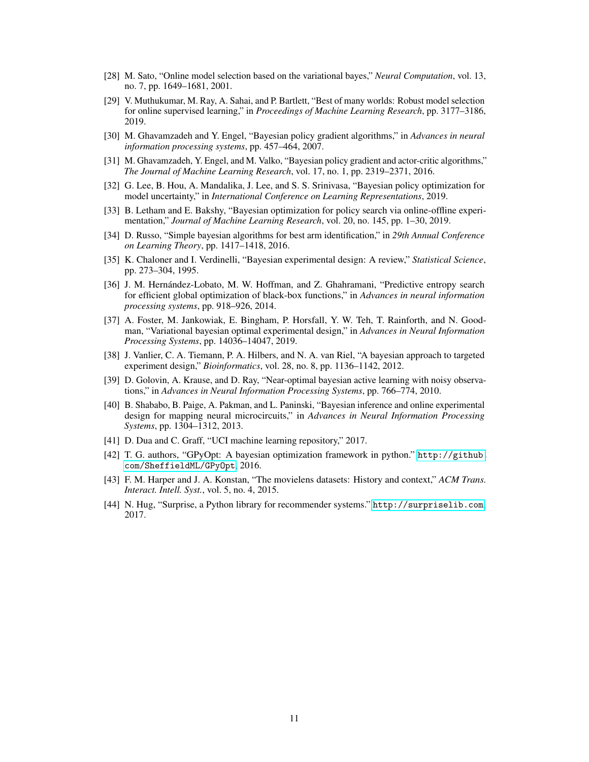- <span id="page-10-0"></span>[28] M. Sato, "Online model selection based on the variational bayes," *Neural Computation*, vol. 13, no. 7, pp. 1649–1681, 2001.
- <span id="page-10-1"></span>[29] V. Muthukumar, M. Ray, A. Sahai, and P. Bartlett, "Best of many worlds: Robust model selection for online supervised learning," in *Proceedings of Machine Learning Research*, pp. 3177–3186, 2019.
- <span id="page-10-2"></span>[30] M. Ghavamzadeh and Y. Engel, "Bayesian policy gradient algorithms," in *Advances in neural information processing systems*, pp. 457–464, 2007.
- <span id="page-10-3"></span>[31] M. Ghavamzadeh, Y. Engel, and M. Valko, "Bayesian policy gradient and actor-critic algorithms," *The Journal of Machine Learning Research*, vol. 17, no. 1, pp. 2319–2371, 2016.
- <span id="page-10-4"></span>[32] G. Lee, B. Hou, A. Mandalika, J. Lee, and S. S. Srinivasa, "Bayesian policy optimization for model uncertainty," in *International Conference on Learning Representations*, 2019.
- <span id="page-10-5"></span>[33] B. Letham and E. Bakshy, "Bayesian optimization for policy search via online-offline experimentation," *Journal of Machine Learning Research*, vol. 20, no. 145, pp. 1–30, 2019.
- <span id="page-10-6"></span>[34] D. Russo, "Simple bayesian algorithms for best arm identification," in *29th Annual Conference on Learning Theory*, pp. 1417–1418, 2016.
- <span id="page-10-7"></span>[35] K. Chaloner and I. Verdinelli, "Bayesian experimental design: A review," *Statistical Science*, pp. 273–304, 1995.
- <span id="page-10-8"></span>[36] J. M. Hernández-Lobato, M. W. Hoffman, and Z. Ghahramani, "Predictive entropy search for efficient global optimization of black-box functions," in *Advances in neural information processing systems*, pp. 918–926, 2014.
- <span id="page-10-9"></span>[37] A. Foster, M. Jankowiak, E. Bingham, P. Horsfall, Y. W. Teh, T. Rainforth, and N. Goodman, "Variational bayesian optimal experimental design," in *Advances in Neural Information Processing Systems*, pp. 14036–14047, 2019.
- <span id="page-10-10"></span>[38] J. Vanlier, C. A. Tiemann, P. A. Hilbers, and N. A. van Riel, "A bayesian approach to targeted experiment design," *Bioinformatics*, vol. 28, no. 8, pp. 1136–1142, 2012.
- <span id="page-10-11"></span>[39] D. Golovin, A. Krause, and D. Ray, "Near-optimal bayesian active learning with noisy observations," in *Advances in Neural Information Processing Systems*, pp. 766–774, 2010.
- <span id="page-10-12"></span>[40] B. Shababo, B. Paige, A. Pakman, and L. Paninski, "Bayesian inference and online experimental design for mapping neural microcircuits," in *Advances in Neural Information Processing Systems*, pp. 1304–1312, 2013.
- <span id="page-10-13"></span>[41] D. Dua and C. Graff, "UCI machine learning repository," 2017.
- <span id="page-10-14"></span>[42] T. G. authors, "GPyOpt: A bayesian optimization framework in python." [http://github.](http://github.com/SheffieldML/GPyOpt) [com/SheffieldML/GPyOpt](http://github.com/SheffieldML/GPyOpt), 2016.
- <span id="page-10-15"></span>[43] F. M. Harper and J. A. Konstan, "The movielens datasets: History and context," *ACM Trans. Interact. Intell. Syst.*, vol. 5, no. 4, 2015.
- <span id="page-10-16"></span>[44] N. Hug, "Surprise, a Python library for recommender systems." <http://surpriselib.com>, 2017.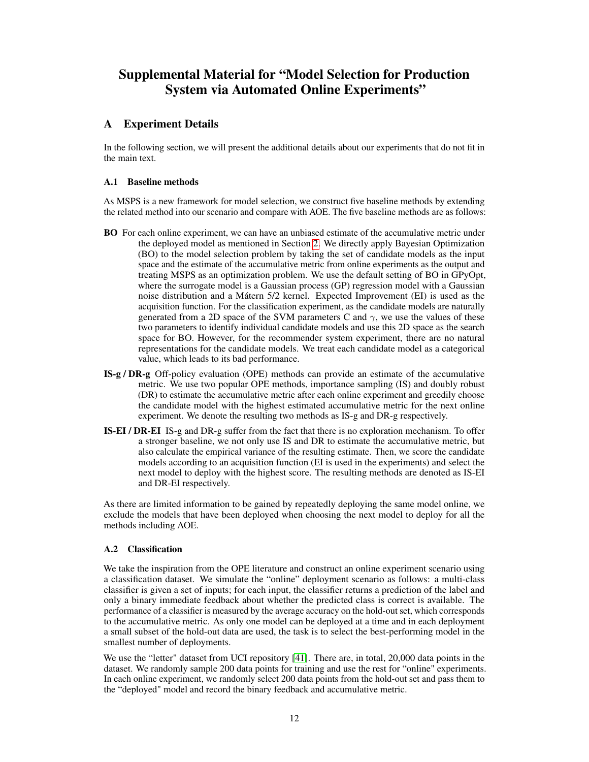# Supplemental Material for "Model Selection for Production System via Automated Online Experiments"

# A Experiment Details

In the following section, we will present the additional details about our experiments that do not fit in the main text.

### A.1 Baseline methods

As MSPS is a new framework for model selection, we construct five baseline methods by extending the related method into our scenario and compare with AOE. The five baseline methods are as follows:

- BO For each online experiment, we can have an unbiased estimate of the accumulative metric under the deployed model as mentioned in Section [2.](#page-1-1) We directly apply Bayesian Optimization (BO) to the model selection problem by taking the set of candidate models as the input space and the estimate of the accumulative metric from online experiments as the output and treating MSPS as an optimization problem. We use the default setting of BO in GPyOpt, where the surrogate model is a Gaussian process (GP) regression model with a Gaussian noise distribution and a Mátern 5/2 kernel. Expected Improvement (EI) is used as the acquisition function. For the classification experiment, as the candidate models are naturally generated from a 2D space of the SVM parameters C and  $\gamma$ , we use the values of these two parameters to identify individual candidate models and use this 2D space as the search space for BO. However, for the recommender system experiment, there are no natural representations for the candidate models. We treat each candidate model as a categorical value, which leads to its bad performance.
- IS-g / DR-g Off-policy evaluation (OPE) methods can provide an estimate of the accumulative metric. We use two popular OPE methods, importance sampling (IS) and doubly robust (DR) to estimate the accumulative metric after each online experiment and greedily choose the candidate model with the highest estimated accumulative metric for the next online experiment. We denote the resulting two methods as IS-g and DR-g respectively.
- IS-EI / DR-EI IS-g and DR-g suffer from the fact that there is no exploration mechanism. To offer a stronger baseline, we not only use IS and DR to estimate the accumulative metric, but also calculate the empirical variance of the resulting estimate. Then, we score the candidate models according to an acquisition function (EI is used in the experiments) and select the next model to deploy with the highest score. The resulting methods are denoted as IS-EI and DR-EI respectively.

As there are limited information to be gained by repeatedly deploying the same model online, we exclude the models that have been deployed when choosing the next model to deploy for all the methods including AOE.

### A.2 Classification

We take the inspiration from the OPE literature and construct an online experiment scenario using a classification dataset. We simulate the "online" deployment scenario as follows: a multi-class classifier is given a set of inputs; for each input, the classifier returns a prediction of the label and only a binary immediate feedback about whether the predicted class is correct is available. The performance of a classifier is measured by the average accuracy on the hold-out set, which corresponds to the accumulative metric. As only one model can be deployed at a time and in each deployment a small subset of the hold-out data are used, the task is to select the best-performing model in the smallest number of deployments.

We use the "letter" dataset from UCI repository [\[41\]](#page-10-13). There are, in total, 20,000 data points in the dataset. We randomly sample 200 data points for training and use the rest for "online" experiments. In each online experiment, we randomly select 200 data points from the hold-out set and pass them to the "deployed" model and record the binary feedback and accumulative metric.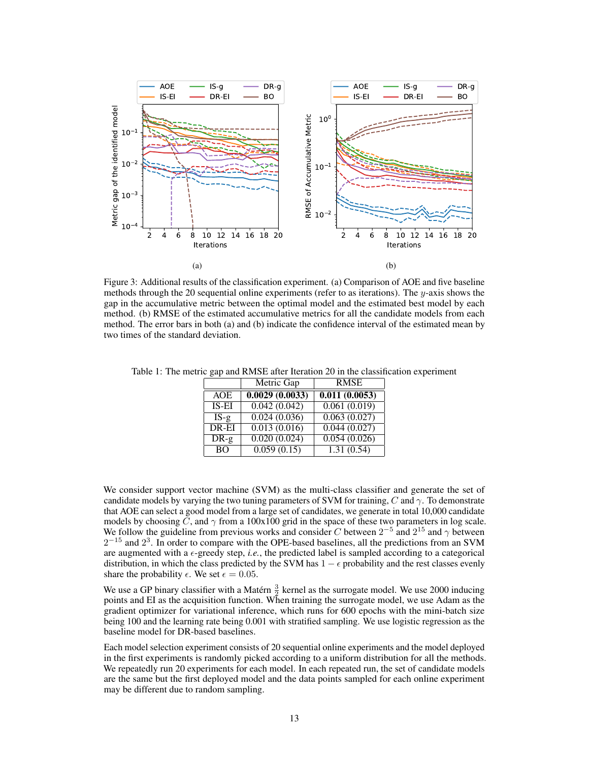<span id="page-12-0"></span>

Figure 3: Additional results of the classification experiment. (a) Comparison of AOE and five baseline methods through the 20 sequential online experiments (refer to as iterations). The  $y$ -axis shows the gap in the accumulative metric between the optimal model and the estimated best model by each method. (b) RMSE of the estimated accumulative metrics for all the candidate models from each method. The error bars in both (a) and (b) indicate the confidence interval of the estimated mean by two times of the standard deviation.

|            | Metric Gap     | <b>RMSE</b>   |
|------------|----------------|---------------|
| <b>AOE</b> | 0.0029(0.0033) | 0.011(0.0053) |
| $IS-EI$    | 0.042(0.042)   | 0.061(0.019)  |
| $IS-g$     | 0.024(0.036)   | 0.063(0.027)  |
| DR-EI      | 0.013(0.016)   | 0.044(0.027)  |
| $DR-g$     | 0.020(0.024)   | 0.054(0.026)  |
| <b>BO</b>  | 0.059(0.15)    | 1.31(0.54)    |

<span id="page-12-1"></span>Table 1: The metric gap and RMSE after Iteration 20 in the classification experiment

We consider support vector machine (SVM) as the multi-class classifier and generate the set of candidate models by varying the two tuning parameters of SVM for training, C and  $\gamma$ . To demonstrate that AOE can select a good model from a large set of candidates, we generate in total 10,000 candidate models by choosing C, and  $\gamma$  from a 100x100 grid in the space of these two parameters in log scale. We follow the guideline from previous works and consider C between  $2^{-5}$  and  $2^{15}$  and  $\gamma$  between  $2^{-15}$  and  $2^3$ . In order to compare with the OPE-based baselines, all the predictions from an SVM are augmented with a  $\epsilon$ -greedy step, *i.e.*, the predicted label is sampled according to a categorical distribution, in which the class predicted by the SVM has  $1 - \epsilon$  probability and the rest classes evenly share the probability  $\epsilon$ . We set  $\epsilon = 0.05$ .

We use a GP binary classifier with a Matérn  $\frac{3}{2}$  kernel as the surrogate model. We use 2000 inducing points and EI as the acquisition function. When training the surrogate model, we use Adam as the gradient optimizer for variational inference, which runs for 600 epochs with the mini-batch size being 100 and the learning rate being 0.001 with stratified sampling. We use logistic regression as the baseline model for DR-based baselines.

Each model selection experiment consists of 20 sequential online experiments and the model deployed in the first experiments is randomly picked according to a uniform distribution for all the methods. We repeatedly run 20 experiments for each model. In each repeated run, the set of candidate models are the same but the first deployed model and the data points sampled for each online experiment may be different due to random sampling.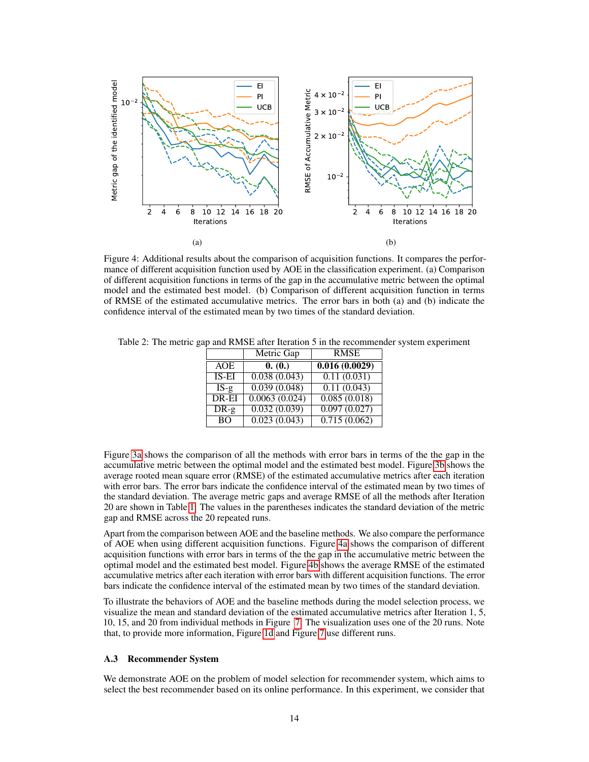<span id="page-13-0"></span>

Figure 4: Additional results about the comparison of acquisition functions. It compares the performance of different acquisition function used by AOE in the classification experiment. (a) Comparison of different acquisition functions in terms of the gap in the accumulative metric between the optimal model and the estimated best model. (b) Comparison of different acquisition function in terms of RMSE of the estimated accumulative metrics. The error bars in both (a) and (b) indicate the confidence interval of the estimated mean by two times of the standard deviation.

|           | Metric Gap    | <b>RMSE</b>   |
|-----------|---------------|---------------|
| AOE       | 0. (0.)       | 0.016(0.0029) |
| $IS$ -EI  | 0.038(0.043)  | 0.11(0.031)   |
| $IS-g$    | 0.039(0.048)  | 0.11(0.043)   |
| DR-EI     | 0.0063(0.024) | 0.085(0.018)  |
| $DR-g$    | 0.032(0.039)  | 0.097(0.027)  |
| <b>BO</b> | 0.023(0.043)  | 0.715(0.062)  |

<span id="page-13-1"></span>Table 2: The metric gap and RMSE after Iteration 5 in the recommender system experiment

Figure [3a](#page-12-0) shows the comparison of all the methods with error bars in terms of the the gap in the accumulative metric between the optimal model and the estimated best model. Figure [3b](#page-12-0) shows the average rooted mean square error (RMSE) of the estimated accumulative metrics after each iteration with error bars. The error bars indicate the confidence interval of the estimated mean by two times of the standard deviation. The average metric gaps and average RMSE of all the methods after Iteration 20 are shown in Table [1.](#page-12-1) The values in the parentheses indicates the standard deviation of the metric gap and RMSE across the 20 repeated runs.

Apart from the comparison between AOE and the baseline methods. We also compare the performance of AOE when using different acquisition functions. Figure [4a](#page-13-0) shows the comparison of different acquisition functions with error bars in terms of the the gap in the accumulative metric between the optimal model and the estimated best model. Figure [4b](#page-13-0) shows the average RMSE of the estimated accumulative metrics after each iteration with error bars with different acquisition functions. The error bars indicate the confidence interval of the estimated mean by two times of the standard deviation.

To illustrate the behaviors of AOE and the baseline methods during the model selection process, we visualize the mean and standard deviation of the estimated accumulative metrics after Iteration 1, 5, 10, 15, and 20 from individual methods in Figure [7.](#page-17-0) The visualization uses one of the 20 runs. Note that, to provide more information, Figure [1d](#page-6-0) and Figure [7](#page-17-0) use different runs.

#### A.3 Recommender System

We demonstrate AOE on the problem of model selection for recommender system, which aims to select the best recommender based on its online performance. In this experiment, we consider that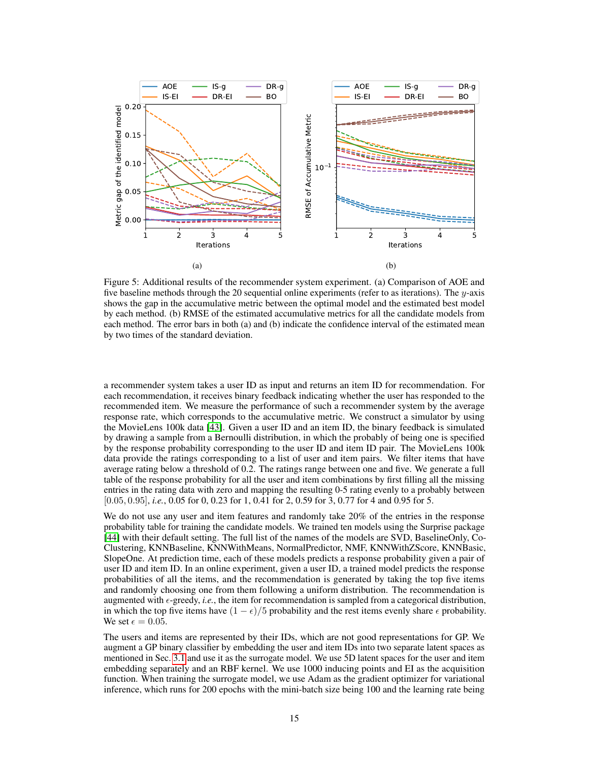<span id="page-14-0"></span>

Figure 5: Additional results of the recommender system experiment. (a) Comparison of AOE and five baseline methods through the 20 sequential online experiments (refer to as iterations). The  $y$ -axis shows the gap in the accumulative metric between the optimal model and the estimated best model by each method. (b) RMSE of the estimated accumulative metrics for all the candidate models from each method. The error bars in both (a) and (b) indicate the confidence interval of the estimated mean by two times of the standard deviation.

a recommender system takes a user ID as input and returns an item ID for recommendation. For each recommendation, it receives binary feedback indicating whether the user has responded to the recommended item. We measure the performance of such a recommender system by the average response rate, which corresponds to the accumulative metric. We construct a simulator by using the MovieLens 100k data [\[43\]](#page-10-15). Given a user ID and an item ID, the binary feedback is simulated by drawing a sample from a Bernoulli distribution, in which the probably of being one is specified by the response probability corresponding to the user ID and item ID pair. The MovieLens 100k data provide the ratings corresponding to a list of user and item pairs. We filter items that have average rating below a threshold of 0.2. The ratings range between one and five. We generate a full table of the response probability for all the user and item combinations by first filling all the missing entries in the rating data with zero and mapping the resulting 0-5 rating evenly to a probably between [0.05, 0.95], *i.e.*, 0.05 for 0, 0.23 for 1, 0.41 for 2, 0.59 for 3, 0.77 for 4 and 0.95 for 5.

We do not use any user and item features and randomly take 20% of the entries in the response probability table for training the candidate models. We trained ten models using the Surprise package [\[44\]](#page-10-16) with their default setting. The full list of the names of the models are SVD, BaselineOnly, Co-Clustering, KNNBaseline, KNNWithMeans, NormalPredictor, NMF, KNNWithZScore, KNNBasic, SlopeOne. At prediction time, each of these models predicts a response probability given a pair of user ID and item ID. In an online experiment, given a user ID, a trained model predicts the response probabilities of all the items, and the recommendation is generated by taking the top five items and randomly choosing one from them following a uniform distribution. The recommendation is augmented with  $\epsilon$ -greedy, *i.e.*, the item for recommendation is sampled from a categorical distribution, in which the top five items have  $(1 - \epsilon)/5$  probability and the rest items evenly share  $\epsilon$  probability. We set  $\epsilon = 0.05$ .

The users and items are represented by their IDs, which are not good representations for GP. We augment a GP binary classifier by embedding the user and item IDs into two separate latent spaces as mentioned in Sec. [3.1](#page-2-1) and use it as the surrogate model. We use 5D latent spaces for the user and item embedding separately and an RBF kernel. We use 1000 inducing points and EI as the acquisition function. When training the surrogate model, we use Adam as the gradient optimizer for variational inference, which runs for 200 epochs with the mini-batch size being 100 and the learning rate being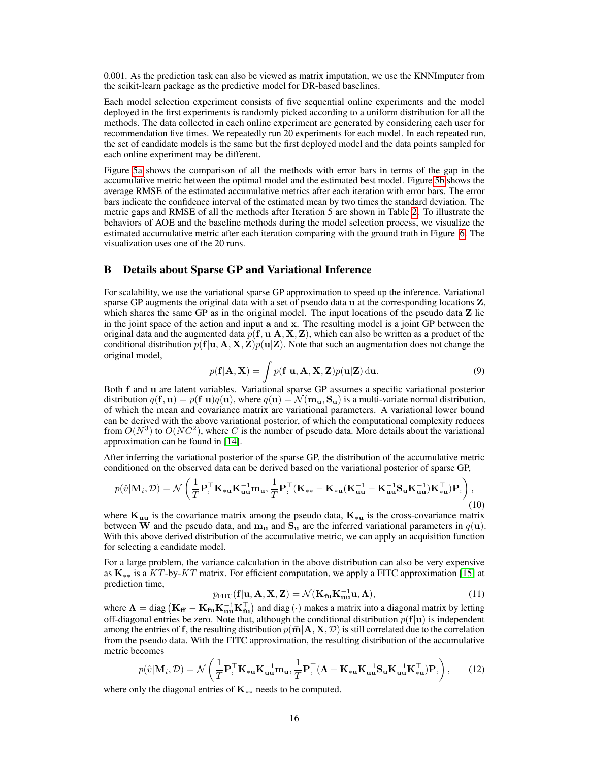0.001. As the prediction task can also be viewed as matrix imputation, we use the KNNImputer from the scikit-learn package as the predictive model for DR-based baselines.

Each model selection experiment consists of five sequential online experiments and the model deployed in the first experiments is randomly picked according to a uniform distribution for all the methods. The data collected in each online experiment are generated by considering each user for recommendation five times. We repeatedly run 20 experiments for each model. In each repeated run, the set of candidate models is the same but the first deployed model and the data points sampled for each online experiment may be different.

Figure [5a](#page-14-0) shows the comparison of all the methods with error bars in terms of the gap in the accumulative metric between the optimal model and the estimated best model. Figure [5b](#page-14-0) shows the average RMSE of the estimated accumulative metrics after each iteration with error bars. The error bars indicate the confidence interval of the estimated mean by two times the standard deviation. The metric gaps and RMSE of all the methods after Iteration 5 are shown in Table [2.](#page-13-1) To illustrate the behaviors of AOE and the baseline methods during the model selection process, we visualize the estimated accumulative metric after each iteration comparing with the ground truth in Figure [6.](#page-16-0) The visualization uses one of the 20 runs.

# B Details about Sparse GP and Variational Inference

For scalability, we use the variational sparse GP approximation to speed up the inference. Variational sparse GP augments the original data with a set of pseudo data u at the corresponding locations Z, which shares the same GP as in the original model. The input locations of the pseudo data **Z** lie in the joint space of the action and input a and x. The resulting model is a joint GP between the original data and the augmented data  $p(f, u|A, X, Z)$ , which can also be written as a product of the conditional distribution  $p(\mathbf{f}|\mathbf{u}, \mathbf{A}, \mathbf{X}, \mathbf{Z})p(\mathbf{u}|\mathbf{Z})$ . Note that such an augmentation does not change the original model,

$$
p(\mathbf{f}|\mathbf{A}, \mathbf{X}) = \int p(\mathbf{f}|\mathbf{u}, \mathbf{A}, \mathbf{X}, \mathbf{Z}) p(\mathbf{u}|\mathbf{Z}) \, \mathrm{d}\mathbf{u}.
$$
 (9)

Both f and u are latent variables. Variational sparse GP assumes a specific variational posterior distribution  $q(\mathbf{f}, \mathbf{u}) = p(\mathbf{f}|\mathbf{u})q(\mathbf{u})$ , where  $q(\mathbf{u}) = \mathcal{N}(\mathbf{m}_{\mathbf{u}}, \mathbf{S}_{\mathbf{u}})$  is a multi-variate normal distribution, of which the mean and covariance matrix are variational parameters. A variational lower bound can be derived with the above variational posterior, of which the computational complexity reduces from  $O(N^3)$  to  $O(NC^2)$ , where C is the number of pseudo data. More details about the variational approximation can be found in [\[14\]](#page-9-7).

After inferring the variational posterior of the sparse GP, the distribution of the accumulative metric conditioned on the observed data can be derived based on the variational posterior of sparse GP,

$$
p(\hat{v}|\mathbf{M}_{i},\mathcal{D})=\mathcal{N}\left(\frac{1}{T}\mathbf{P}_{\cdot}^{\top}\mathbf{K}_{\ast\mathbf{u}}\mathbf{K}_{\mathbf{u}\mathbf{u}}^{-1}\mathbf{m}_{\mathbf{u}},\frac{1}{T}\mathbf{P}_{\cdot}^{\top}(\mathbf{K}_{\ast\ast}-\mathbf{K}_{\ast\mathbf{u}}(\mathbf{K}_{\mathbf{u}\mathbf{u}}^{-1}-\mathbf{K}_{\mathbf{u}\mathbf{u}}^{-1}\mathbf{S}_{\mathbf{u}}\mathbf{K}_{\mathbf{u}\mathbf{u}}^{-1})\mathbf{K}_{\ast\mathbf{u}}^{\top})\mathbf{P}_{\cdot}\right),\tag{10}
$$

where  $K_{uu}$  is the covariance matrix among the pseudo data,  $K_{*u}$  is the cross-covariance matrix between W and the pseudo data, and  $m_u$  and  $S_u$  are the inferred variational parameters in  $q(u)$ . With this above derived distribution of the accumulative metric, we can apply an acquisition function for selecting a candidate model.

For a large problem, the variance calculation in the above distribution can also be very expensive as  $K_{**}$  is a KT-by-KT matrix. For efficient computation, we apply a FITC approximation [\[15\]](#page-9-8) at prediction time,

$$
p_{\text{FITC}}(\mathbf{f}|\mathbf{u}, \mathbf{A}, \mathbf{X}, \mathbf{Z}) = \mathcal{N}(\mathbf{K}_{\mathbf{fu}} \mathbf{K}_{\mathbf{uu}}^{-1} \mathbf{u}, \mathbf{\Lambda}),
$$
\n(11)

where  $\Lambda =$  diag  $(K_{\bf ff} - K_{\bf fu} K_{\bf uu}^{-1} K_{\bf fu}^\top)$  and diag  $(\cdot)$  makes a matrix into a diagonal matrix by letting off-diagonal entries be zero. Note that, although the conditional distribution  $p(f|u)$  is independent among the entries of f, the resulting distribution  $p(\bar{m}|A, X, D)$  is still correlated due to the correlation from the pseudo data. With the FITC approximation, the resulting distribution of the accumulative metric becomes

$$
p(\hat{v}|\mathbf{M}_{i}, \mathcal{D}) = \mathcal{N}\left(\frac{1}{T}\mathbf{P}_{\cdot}^{\top}\mathbf{K}_{\cdot\mathbf{u}}\mathbf{K}_{\mathbf{u}\mathbf{u}}^{-1}\mathbf{m}_{\mathbf{u}}, \frac{1}{T}\mathbf{P}_{\cdot}^{\top}(\mathbf{\Lambda} + \mathbf{K}_{\cdot\mathbf{u}}\mathbf{K}_{\mathbf{u}\mathbf{u}}^{-1}\mathbf{S}_{\mathbf{u}}\mathbf{K}_{\mathbf{u}\mathbf{u}}^{-1}\mathbf{K}_{\cdot\mathbf{u}}^{\top})\mathbf{P}_{\cdot}\right),
$$
 (12)

where only the diagonal entries of  $\mathbf{K}_{**}$  needs to be computed.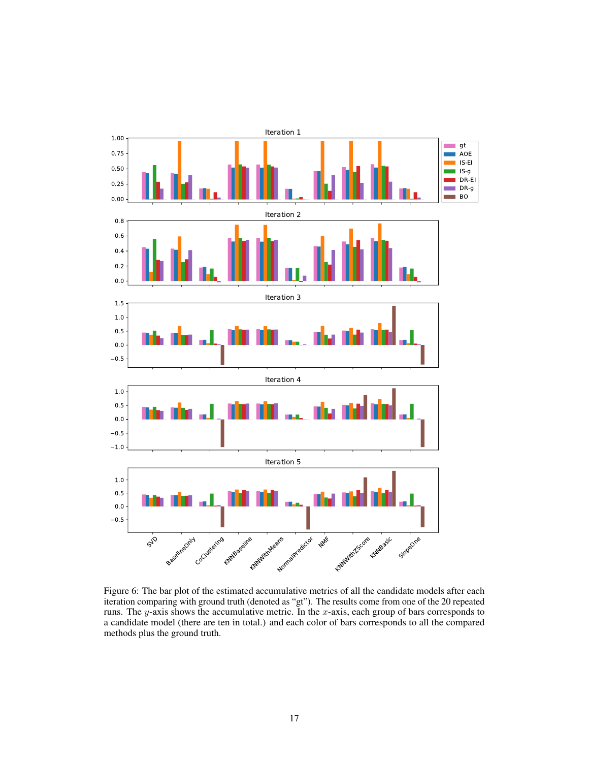<span id="page-16-0"></span>

Figure 6: The bar plot of the estimated accumulative metrics of all the candidate models after each iteration comparing with ground truth (denoted as "gt"). The results come from one of the 20 repeated runs. The y-axis shows the accumulative metric. In the x-axis, each group of bars corresponds to a candidate model (there are ten in total.) and each color of bars corresponds to all the compared methods plus the ground truth.